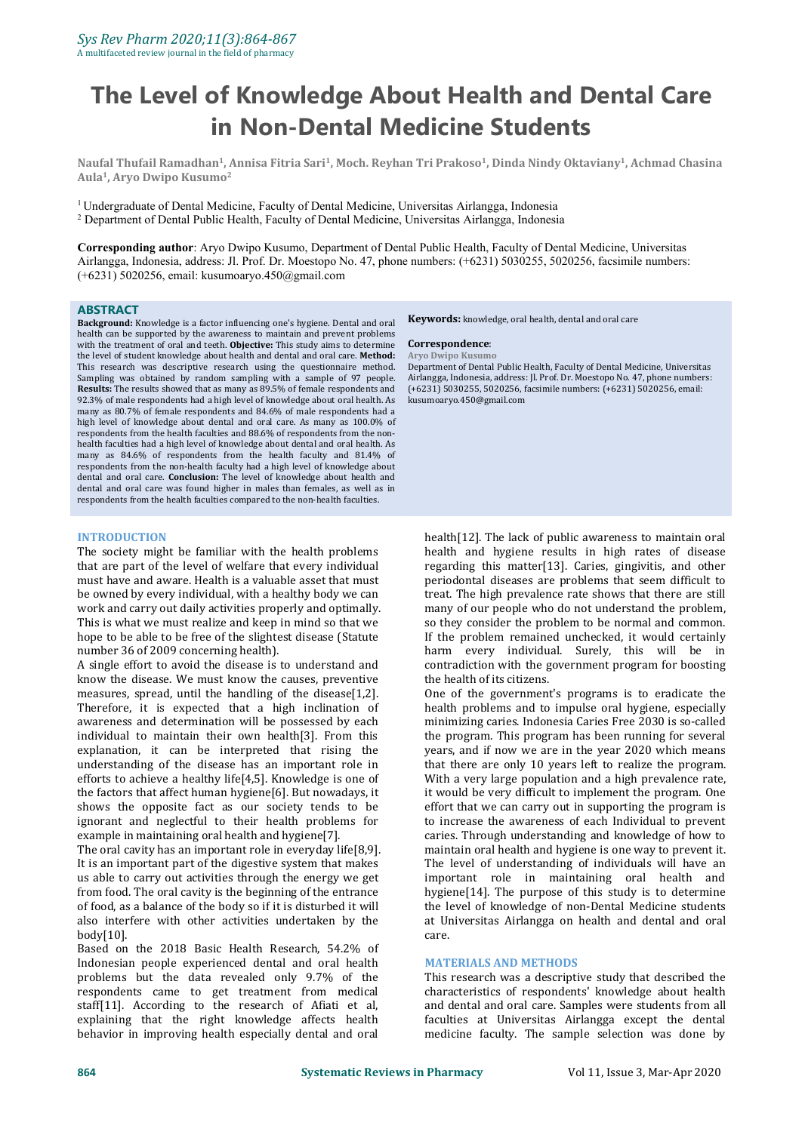# **The Level of Knowledge About Health and Dental Care in Non-Dental Medicine Students**

Naufal Thufail Ramadhan<sup>1</sup>, Annisa Fitria Sari<sup>1</sup>, Moch. Reyhan Tri Prakoso<sup>1</sup>, Dinda Nindy Oktaviany<sup>1</sup>, Achmad Chasina **Aula 1 , Aryo Dwipo Kusumo 2**

<sup>1</sup> Undergraduate of Dental Medicine, Faculty of Dental Medicine, Universitas Airlangga, Indonesia <sup>2</sup> Department of Dental Public Health, Faculty of Dental Medicine, Universitas Airlangga, Indonesia

**Corresponding author**: Aryo Dwipo Kusumo, Department of Dental Public Health, Faculty of Dental Medicine, Universitas Airlangga, Indonesia, address: Jl. Prof. Dr. Moestopo No. 47, phone numbers: (+6231) 5030255, 5020256, facsimile numbers: (+6231) 5020256, email: kusumoaryo.450@gmail.com

#### **ABSTRACT**

**Background:** Knowledge is a factor influencing one's hygiene. Dental and oral **Refinition Refinition** health can be supported by the awareness to maintain and prevent problems with the treatment of oral and teeth. **Objective:** This study aims to determine **Correspondence:**<br>the level of student knowledge about health and dental and oral care. **Method:** Arvo Dwino Kusumo the level of student knowledge about health and dental and oral care. **Method:** This research was descriptive research using the questionnaire method. Department of Dental Public Health, Faculty of Dental Medicine, Universitas Sampling was obtained by random sampling with a sample of 97 people. Airlan Sampling was obtained by random sampling with <sup>a</sup> sample of <sup>97</sup> people. **Results:** The results showed that as many as 89.5% of female respondents and 92.3% of male respondents had a high level of knowledge about oral health. As many as 80.7% of female respondents and 84.6% of male respondents had a high level of knowledge about dental and oral care. As many as 100.0% of respondents from the health faculties and 88.6% of respondents from the non health faculties had a high level of knowledge about dental and oral health. As many as 84.6% of respondents from the health faculty and 81.4% of respondents from the non-health faculty had a high level of knowledge about dental and oral care. **Conclusion:** The level of knowledge about health and dental and oral care was found higher in males than females, as well as in respondents from the health faculties compared to the non-health faculties.

#### **INTRODUCTION**

The society might be familiar with the health problems that are part of the level of welfare that every individual must have and aware. Health is a valuable asset that must be owned by every individual, with a healthy body we can work and carry out daily activities properly and optimally. This is what we must realize and keep in mind so that we hope to be able to be free of the slightest disease (Statute number 36 of 2009 concerning health).

A single effort to avoid the disease is to understand and know the disease. We must know the causes, preventive measures, spread, until the handling of the disease[1,2]. Therefore, it is expected that a high inclination of awareness and determination will be possessed by each individual to maintain their own health[3]. From this explanation, it can be interpreted that rising the understanding of the disease has an important role in efforts to achieve a healthy life $[4,5]$ . Knowledge is one of the factors that affect human hygiene[6]. But nowadays, it shows the opposite fact as our society tends to be ignorant and neglectful to their health problems for example in maintaining oral health and hygiene[7].

The oral cavity has an important role in everyday life[8,9]. It is an important part of the digestive system that makes us able to carry out activities through the energy we get from food. The oral cavity is the beginning of the entrance of food, as a balance of the body so if it is disturbed it will also interfere with other activities undertaken by the body[10].

Based on the 2018 Basic Health Research, 54.2% of Indonesian people experienced dental and oral health problems but the data revealed only 9.7% of the respondents came to get treatment from medical staff[11]. According to the research of Afiati et al, explaining that the right knowledge affects health behavior in improving health especially dental and oral **Keywords:** knowledge, oral health, dental and oral care

#### $Correspondence:$

Department of Dental Public Health, Faculty of Dental Medicine, Universitas (+6231) 5030255, 5020256, facsimile numbers: (+6231) 5020256, email: kusumoaryo.450@gmail.com

health[12]. The lack of public awareness to maintain oral health and hygiene results in high rates of disease regarding this matter[13]. Caries, gingivitis, and other periodontal diseases are problems that seem difficult to treat. The high prevalence rate shows that there are still many of our people who do not understand the problem, so they consider the problem to be normal and common. If the problem remained unchecked, it would certainly harm every individual. Surely, this will be in contradiction with the government program for boosting the health of its citizens.

One of the government's programs is to eradicate the health problems and to impulse oral hygiene, especially minimizing caries. Indonesia Caries Free 2030 is so-called the program. This program has been running for several years, and if now we are in the year 2020 which means that there are only 10 years left to realize the program. With a very large population and a high prevalence rate, it would be very difficult to implement the program. One effort that we can carry out in supporting the program is to increase the awareness of each Individual to prevent caries. Through understanding and knowledge of how to maintain oral health and hygiene is one way to prevent it. The level of understanding of individuals will have an important role in maintaining oral health and hygiene[14]. The purpose of this study is to determine the level of knowledge of non-Dental Medicine students at Universitas Airlangga on health and dental and oral care.

#### **MATERIALS AND METHODS**

This research was a descriptive study that described the characteristics of respondents' knowledge about health and dental and oral care. Samples were students from all faculties at Universitas Airlangga except the dental medicine faculty. The sample selection was done by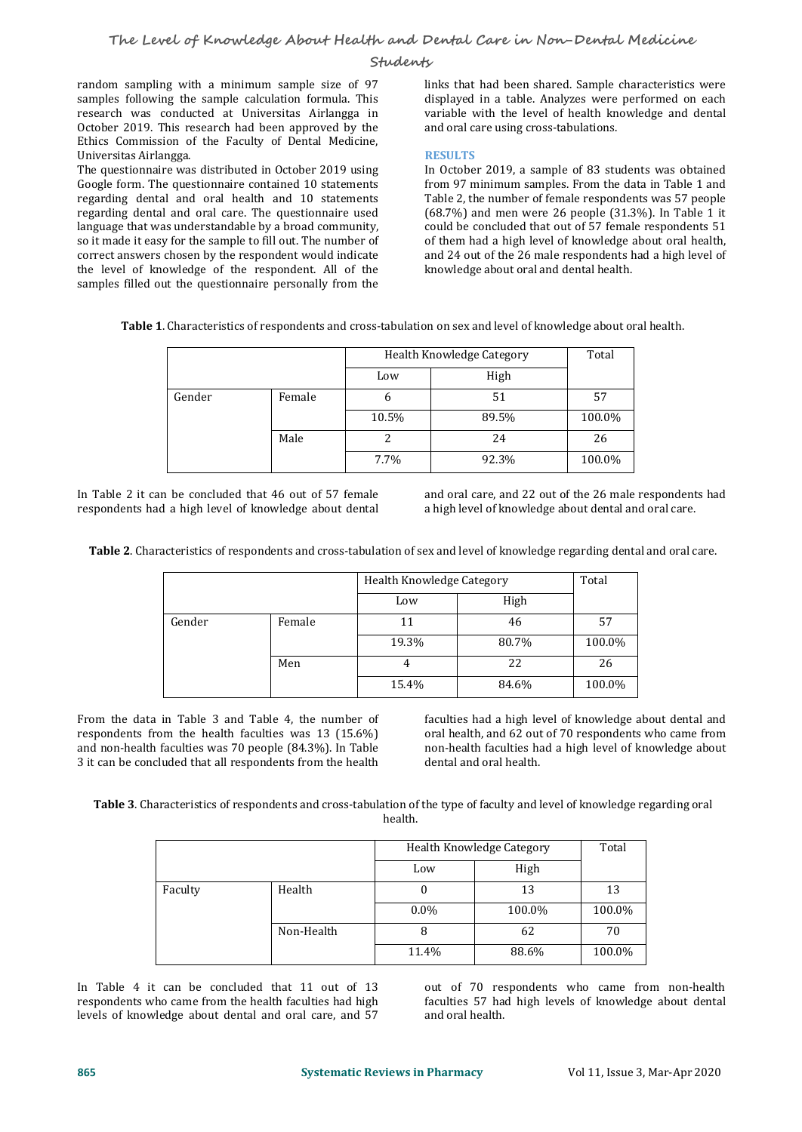#### **Students**

random sampling with a minimum sample size of 97 samples following the sample calculation formula. This research was conducted at Universitas Airlangga in October 2019. This research had been approved by the Ethics Commission of the Faculty of Dental Medicine, Universitas Airlangga.

The questionnaire was distributed in October 2019 using Google form. The questionnaire contained 10 statements regarding dental and oral health and 10 statements regarding dental and oral care. The questionnaire used language that was understandable by a broad community, so it made it easy for the sample to fill out. The number of correct answers chosen by the respondent would indicate the level of knowledge of the respondent. All of the samples filled out the questionnaire personally from the

links that had been shared. Sample characteristics were displayed in a table. Analyzes were performed on each variable with the level of health knowledge and dental and oral care using cross-tabulations.

#### **RESULTS**

In October 2019, a sample of 83 students was obtained from 97 minimum samples. From the data in Table 1 and Table 2, the number of female respondents was 57 people (68.7%) and men were 26 people (31.3%). In Table 1 it could be concluded that out of 57 female respondents 51 of them had a high level of knowledge about oral health, and 24 out of the 26 male respondents had a high level of knowledge about oral and dental health.

**Table 1.** Characteristics of respondents and cross-tabulation on sex and level of knowledge about oral health.

|        |        | Health Knowledge Category |       | Total  |
|--------|--------|---------------------------|-------|--------|
|        |        | Low                       | High  |        |
| Gender | Female | o                         | 51    | 57     |
|        |        | 10.5%                     | 89.5% | 100.0% |
|        | Male   |                           | 24    | 26     |
|        |        | $7.7\%$                   | 92.3% | 100.0% |

In Table 2 it can be concluded that 46 out of 57 female and oral care, and 22 out of the 26 male respondents had respondents had a high level of knowledge about dental

a high level of knowledge about dental and oral care.

**Table 2**. Characteristics of respondents and cross-tabulation of sex and level of knowledge regarding dental and oral care.

|        |        | Health Knowledge Category | Total |        |
|--------|--------|---------------------------|-------|--------|
|        |        | Low                       | High  |        |
| Gender | Female | 11                        | 46    | 57     |
|        |        | 19.3%                     | 80.7% | 100.0% |
|        | Men    |                           | 22    | 26     |
|        |        | 15.4%                     | 84.6% | 100.0% |

From the data in Table 3 and Table 4, the number of respondents from the health faculties was 13 (15.6%) and non-health faculties was 70 people (84.3%). In Table 3 it can be concluded that all respondents from the health

faculties had a high level of knowledge about dental and oral health, and 62 out of 70 respondents who came from non-health faculties had a high level of knowledge about dental and oral health.

**Table 3**. Characteristics of respondents and cross-tabulation of the type of faculty and level of knowledge regarding oral health.

|         |            |         | Health Knowledge Category |        |  |
|---------|------------|---------|---------------------------|--------|--|
|         |            | Low     | High                      |        |  |
| Faculty | Health     |         | 13                        | 13     |  |
|         |            | $0.0\%$ | 100.0%                    | 100.0% |  |
|         | Non-Health |         | 62                        | 70     |  |
|         |            | 11.4%   | 88.6%                     | 100.0% |  |

In Table 4 it can be concluded that 11 out of 13 respondents who came from the health faculties had high levels of knowledge about dental and oral care, and 57 out of 70 respondents who came from non-health faculties 57 had high levels of knowledge about dental and oral health.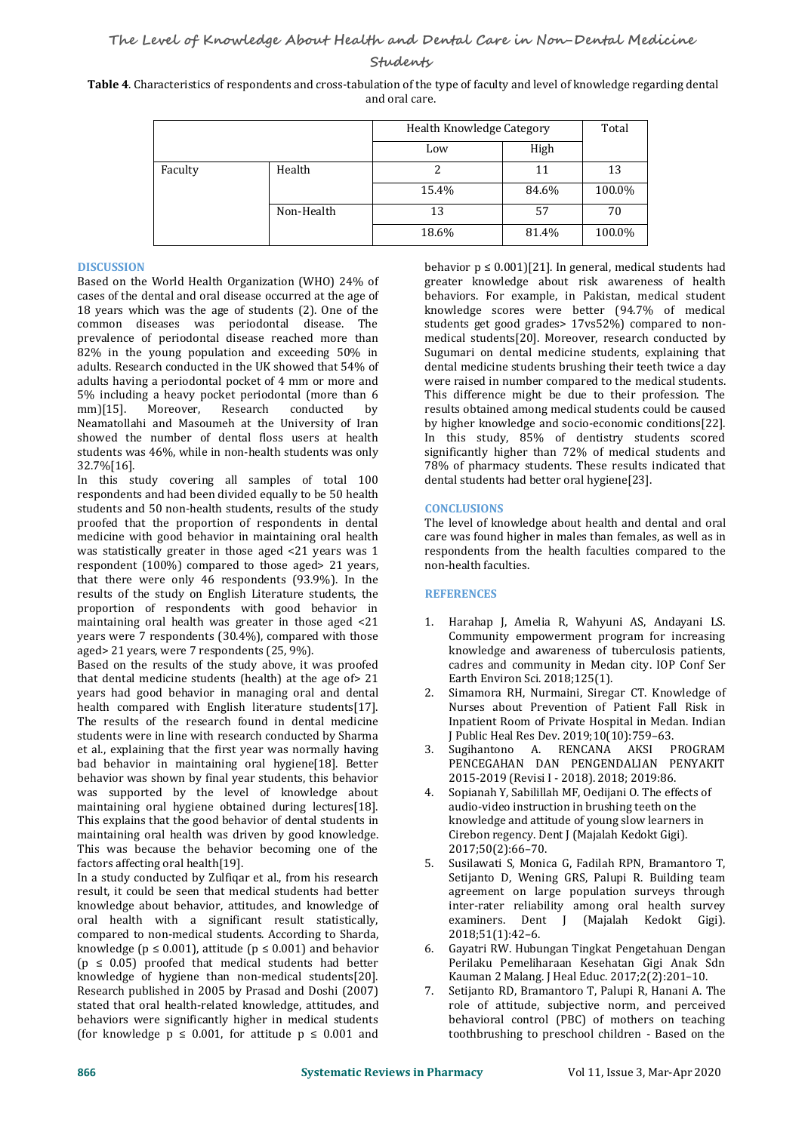**Students**

| Table 4. Characteristics of respondents and cross-tabulation of the type of faculty and level of knowledge regarding dental |  |
|-----------------------------------------------------------------------------------------------------------------------------|--|
| and oral care.                                                                                                              |  |

|         |            | Health Knowledge Category | Total |        |
|---------|------------|---------------------------|-------|--------|
|         |            | Low                       | High  |        |
| Faculty | Health     |                           | 11    | 13     |
|         |            | 15.4%                     | 84.6% | 100.0% |
|         | Non-Health | 13                        | 57    | 70     |
|         |            | 18.6%                     | 81.4% | 100.0% |

## **DISCUSSION**

Based on the World Health Organization (WHO) 24% of cases of the dental and oral disease occurred at the age of 18 years which was the age of students (2). One of the common diseases was periodontal disease. The prevalence of periodontal disease reached more than 82% in the young population and exceeding 50% in adults. Research conducted in the UK showed that 54% of adults having a periodontal pocket of 4 mm or more and 5% including a heavy pocket periodontal (more than 6 mm)[15]. Moreover, Research conducted by mm)[15]. Moreover, Research conducted by Neamatollahi and Masoumeh at the University of Iran showed the number of dental floss users at health students was 46%, while in non-health students was only 32.7%[16].

In this study covering all samples of total 100 respondents and had been divided equally to be 50 health students and 50 non-health students, results of the study proofed that the proportion of respondents in dental medicine with good behavior in maintaining oral health was statistically greater in those aged <21 years was 1 respondent (100%) compared to those aged> 21 years, that there were only 46 respondents  $(93.9\%)$ . In the results of the study on English Literature students, the proportion of respondents with good behavior in maintaining oral health was greater in those aged <21 years were 7 respondents (30.4%), compared with those aged> 21 years, were 7 respondents (25, 9%).

Based on the results of the study above, it was proofed that dental medicine students (health) at the age of > 21 vears had good behavior in managing oral and dental 2. years had good behavior in managing oral and dental health compared with English literature students[17]. The results of the research found in dental medicine students were in line with research conducted by Sharma<br>et al., explaining that the first year was normally having a 3. et al., explaining that the first year was normally having bad behavior in maintaining oral hygiene[18]. Better behavior was shown by final year students, this behavior was supported by the level of knowledge about maintaining oral hygiene obtained during lectures[18]. This explains that the good behavior of dental students in maintaining oral health was driven by good knowledge. This was because the behavior becoming one of the<br>factors affecting oral health[19]. 5. factors affecting oral health[19].

In a study conducted by Zulfiqar et al., from his research result, it could be seen that medical students had better knowledge about behavior, attitudes, and knowledge of inter-rater<br>
oral health with a significant result statistically. examiners. oral health with a significant result statistically, compared to non-medical students. According to Sharda, knowledge ( $p \le 0.001$ ), attitude ( $p \le 0.001$ ) and behavior ( $p \leq 0.05$ ) proofed that medical students had better knowledge of hygiene than non-medical students[20].<br>Research published in 2005 by Prasad and Doshi (2007) 7 Research published in 2005 by Prasad and Doshi (2007) stated that oral health-related knowledge, attitudes, and behaviors were significantly higher in medical students (for knowledge  $p \leq 0.001$ , for attitude  $p \leq 0.001$  and

behavior  $p \leq 0.001$ ][21]. In general, medical students had greater knowledge about risk awareness of health behaviors. For example, in Pakistan, medical student knowledge scores were better (94.7% of medical students get good grades> 17vs52%) compared to nonmedical students[20]. Moreover, research conducted by Sugumari on dental medicine students, explaining that dental medicine students brushing their teeth twice a day were raised in number compared to the medical students. This difference might be due to their profession. The results obtained among medical students could be caused by higher knowledge and socio-economic conditions[22]. In this study, 85% of dentistry students scored significantly higher than 72% of medical students and 78% of pharmacy students. These results indicated that dental students had better oral hygiene[23].

## **CONCLUSIONS**

The level of knowledge about health and dental and oral care was found higher in males than females, as well as in respondents from the health faculties compared to the non-health faculties.

### **REFERENCES**

- 1. Harahap J, Amelia R, Wahyuni AS, Andayani LS. Community empowerment program for increasing knowledge and awareness of tuberculosis patients, cadres and community in Medan city. IOP Conf Ser Earth Environ Sci. 2018;125(1).
- Simamora RH, Nurmaini, Siregar CT. Knowledge of Nurses about Prevention of Patient Fall Risk in Inpatient Room of Private Hospital in Medan. Indian
- J Public Heal Res Dev. 2019;10(10):759–63. Sugihantono A. RENCANA AKSI PENCEGAHAN DAN PENGENDALIAN PENYAKIT 2015-2019 (Revisi I - 2018). 2018; 2019:86.
- 4. Sopianah Y, Sabilillah MF, Oedijani O.The effects of audio-video instruction in brushing teeth on the knowledge and attitude of young slow learners in Cirebon regency. Dent J (Majalah Kedokt Gigi). 2017;50(2):66–70.
- 5. Susilawati S, Monica G, Fadilah RPN, Bramantoro T, Setijanto D, Wening GRS, Palupi R. Building team agreement on large population surveys through inter-rater reliability among oral health survey Dent J (Majalah Kedokt Gigi). 2018;51(1):42–6.
- 6. Gayatri RW. Hubungan Tingkat Pengetahuan Dengan Perilaku Pemeliharaan Kesehatan Gigi Anak Sdn Kauman 2 Malang. J Heal Educ. 2017;2(2):201–10.
- Setijanto RD, Bramantoro T, Palupi R, Hanani A. The role of attitude, subjective norm, and perceived behavioral control (PBC) of mothers on teaching toothbrushing to preschool children - Based on the